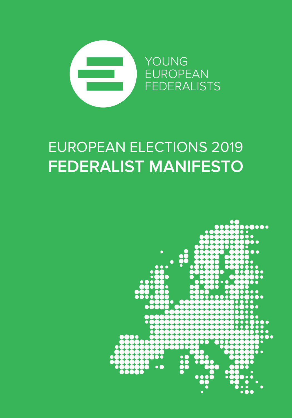

# EUROPEAN ELECTIONS 2019 **FEDERALIST MANIFESTO**

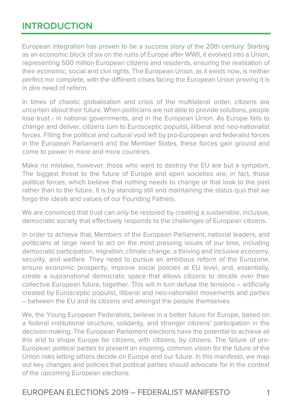### **INTRODUCTION**

European integration has proven to be a success story of the 20th century. Starting as an economic block of six on the ruins of Europe after WWII, it evolved into a Union, representing 500 million European citizens and residents, ensuring the realisation of their economic, social and civil rights. The European Union, as it exists now, is neither perfect nor complete, with the different crises facing the European Union proving it is in dire need of reform.

In times of chaotic globalisation and crisis of the multilateral order, citizens are uncertain about their future. When politicians are not able to provide solutions, people lose trust - in national governments, and in the European Union. As Europe fails to change and deliver, citizens turn to Eurosceptic populist, illiberal and neo-nationalist forces. Filling the political and cultural void left by pro-European and federalist forces in the European Parliament and the Member States, these forces gain ground and come to power in more and more countries.

Make no mistake, however: those who want to destroy the EU are but a symptom. The biggest threat to the future of Europe and open societies are, in fact, those political forces, which believe that nothing needs to change or that look to the past rather than to the future. It is by standing still and maintaining the status quo that we forgo the ideals and values of our Founding Fathers.

We are convinced that trust can only be restored by creating a sustainable, inclusive, democratic society that effectively responds to the challenges of European citizens.

In order to achieve that, Members of the European Parliament, national leaders, and politicians at large need to act on the most pressing issues of our time, including democratic participation, migration, climate change, a thriving and inclusive economy, security, and welfare. They need to pursue an ambitious reform of the Eurozone, ensure economic prosperity, improve social policies at EU level, and, essentially, create a supranational democratic space that allows citizens to decide over their collective European future, together. This will in turn defuse the tensions – artificially created by Eurosceptic populist, illiberal and neo-nationalist movements and parties – between the EU and its citizens and amongst the people themselves.

We, the Young European Federalists, believe in a better future for Europe, based on a federal institutional structure, solidarity, and stronger citizens' participation in the decision-making. The European Parliament elections have the potential to achieve all this and to shape Europe for citizens, with citizens, by citizens. The failure of pro-European political parties to present an inspiring, common vision for the future of the Union risks letting others decide on Europe and our future. In this manifesto, we map out key changes and policies that political parties should advocate for in the context of the upcoming European elections.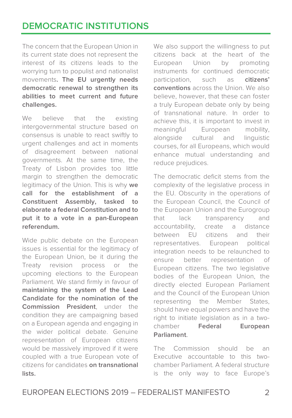## **DEMOCRATIC INSTITUTIONS**

The concern that the European Union in its current state does not represent the interest of its citizens leads to the worrying turn to populist and nationalist movements**. The EU urgently needs democratic renewal to strengthen its abilities to meet current and future challenges.**

We believe that the existing intergovernmental structure based on consensus is unable to react swiftly to urgent challenges and act in moments of disagreement between national governments. At the same time, the Treaty of Lisbon provides too little margin to strengthen the democratic legitimacy of the Union. This is why **we call for the establishment of a Constituent Assembly, tasked to elaborate a federal Constitution and to put it to a vote in a pan-European referendum.**

Wide public debate on the European issues is essential for the legitimacy of the European Union, be it during the Treaty revision process or the upcoming elections to the European Parliament. We stand firmly in favour of **maintaining the system of the Lead Candidate for the nomination of the Commission President**, under the condition they are campaigning based on a European agenda and engaging in the wider political debate. Genuine representation of European citizens would be massively improved if it were coupled with a true European vote of citizens for candidates **on transnational lists.**

We also support the willingness to put citizens back at the heart of the European Union by promoting instruments for continued democratic participation, such as **citizens' conventions** across the Union. We also believe, however, that these can foster a truly European debate only by being of transnational nature. In order to achieve this, it is important to invest in meaningful European mobility, alongside cultural and linguistic courses, for all Europeans, which would enhance mutual understanding and reduce prejudices.

The democratic deficit stems from the complexity of the legislative process in the EU. Obscurity in the operations of the European Council, the Council of the European Union and the Eurogroup that lack transparency and accountability, create a distance between EU citizens and their representatives. European political integration needs to be relaunched to ensure better representation of European citizens. The two legislative bodies of the European Union, the directly elected European Parliament and the Council of the European Union representing the Member States, should have equal powers and have the right to initiate legislation as in a twochamber **Federal European Parliament**.

The Commission should be an Executive accountable to this twochamber Parliament. A federal structure is the only way to face Europe's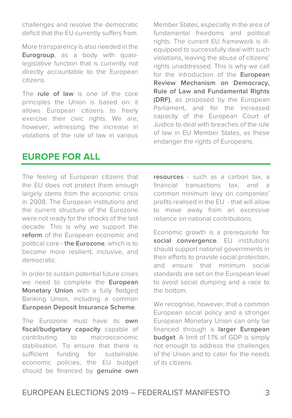challenges and resolve the democratic deficit that the EU currently suffers from.

More transparency is also needed in the **Eurogroup**, as a body with quasilegislative function that is currently not directly accountable to the European citizens.

The **rule of law** is one of the core principles the Union is based on: it allows European citizens to freely exercise their civic rights. We are, however, witnessing the increase in violations of the rule of law in various

Member States, especially in the area of fundamental freedoms and political rights. The current EU framework is illequipped to successfully deal with such violations, leaving the abuse of citizens' rights unaddressed. This is why we call for the introduction of the **European Review Mechanism on Democracy, Rule of Law and Fundamental Rights (DRF)**, as proposed by the European Parliament, and for the increased capacity of the European Court of Justice to deal with breaches of the rule of law in EU Member States, as these endanger the rights of Europeans.

#### **EUROPE FOR ALL**

The feeling of European citizens that the EU does not protect them enough largely stems from the economic crisis in 2008. The European institutions and the current structure of the Eurozone were not ready for the shocks of the last decade. This is why we support the **reform** of the European economic and political core - **the Eurozone**, which is to become more resilient, inclusive, and democratic.

In order to sustain potential future crises we need to complete the **European Monetary Union** with a fully fledged Banking Union, including a common **European Deposit Insurance Scheme**.

The Eurozone must have its **own fiscal/budgetary capacity** capable of contributing to macroeconomic stabilisation. To ensure that there is sufficient funding for sustainable economic policies, the EU budget should be financed by **genuine own**

**resources** - such as a carbon tax, a financial transactions tax, and a common minimum levy on companies' profits realised in the EU - that will allow to move away from an excessive reliance on national contributions.

Economic growth is a prerequisite for **social convergence**. EU institutions should support national governments in their efforts to provide social protection, and ensure that minimum social standards are set on the European level to avoid social dumping and a race to the bottom.

We recognise, however, that a common European social policy and a stronger European Monetary Union can only be financed through a **larger European budget**. A limit of 1.1% of GDP is simply not enough to address the challenges of the Union and to cater for the needs of its citizens.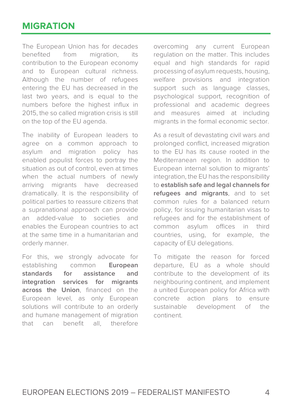#### **MIGRATION**

The European Union has for decades benefited from migration, its contribution to the European economy and to European cultural richness. Although the number of refugees entering the EU has decreased in the last two years, and is equal to the numbers before the highest influx in 2015, the so called migration crisis is still on the top of the EU agenda.

The inability of European leaders to agree on a common approach to asylum and migration policy has enabled populist forces to portray the situation as out of control, even at times when the actual numbers of newly arriving migrants have decreased dramatically. It is the responsibility of political parties to reassure citizens that a supranational approach can provide an added-value to societies and enables the European countries to act at the same time in a humanitarian and orderly manner.

For this, we strongly advocate for establishing common **European standards for assistance and integration services for migrants across the Union**, financed on the European level, as only European solutions will contribute to an orderly and humane management of migration that can benefit all, therefore overcoming any current European regulation on the matter. This includes equal and high standards for rapid processing of asylum requests, housing, welfare provisions and integration support such as language classes, psychological support, recognition of professional and academic degrees and measures aimed at including migrants in the formal economic sector.

As a result of devastating civil wars and prolonged conflict, increased migration to the EU has its cause rooted in the Mediterranean region. In addition to European internal solution to migrants' integration, the EU has the responsibility to **establish safe and legal channels for refugees and migrants**, and to set common rules for a balanced return policy, for issuing humanitarian visas to refugees and for the establishment of common asylum offices in third countries, using, for example, the capacity of EU delegations.

To mitigate the reason for forced departure, EU as a whole should contribute to the development of its neighbouring continent, and implement a united European policy for Africa with concrete action plans to ensure sustainable development of the continent.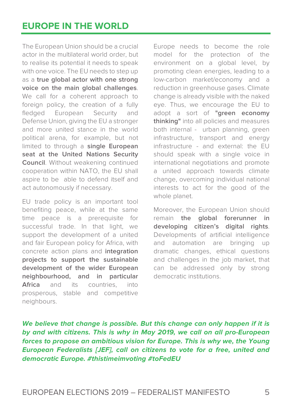The European Union should be a crucial actor in the multilateral world order, but to realise its potential it needs to speak with one voice. The EU needs to step up as a **true global actor with one strong voice on the main global challenges**. We call for a coherent approach to foreign policy, the creation of a fully fledged European Security and Defense Union, giving the EU a stronger and more united stance in the world political arena, for example, but not limited to through a **single European seat at the United Nations Security Council**. Without weakening continued cooperation within NATO, the EU shall aspire to be able to defend itself and act autonomously if necessary.

EU trade policy is an important tool benefiting peace, while at the same time peace is a prerequisite for successful trade. In that light, we support the development of a united and fair European policy for Africa, with concrete action plans and **integration projects to support the sustainable development of the wider European neighbourhood, and in particular Africa** and its countries, into prosperous, stable and competitive neighbours.

Europe needs to become the role model for the protection of the environment on a global level, by promoting clean energies, leading to a low-carbon market/economy and a reduction in greenhouse gases. Climate change is already visible with the naked eye. Thus, we encourage the EU to adopt a sort of **"green economy thinking"** into all policies and measures both internal - urban planning, green infrastructure, transport and energy infrastructure - and external: the EU should speak with a single voice in international negotiations and promote a united approach towards climate change, overcoming individual national interests to act for the good of the whole planet.

Moreover, the European Union should remain **the global forerunner in developing citizen's digital rights**. Developments of artificial intelligence and automation are bringing up dramatic changes, ethical questions and challenges in the job market, that can be addressed only by strong democratic institutions.

**We believe that change is possible. But this change can only happen if it is by and with citizens. This is why in May 2019, we call on all pro-European forces to propose an ambitious vision for Europe. This is why we, the Young European Federalists [JEF], call on citizens to vote for a free, united and democratic Europe. #thistimeimvoting #toFedEU**